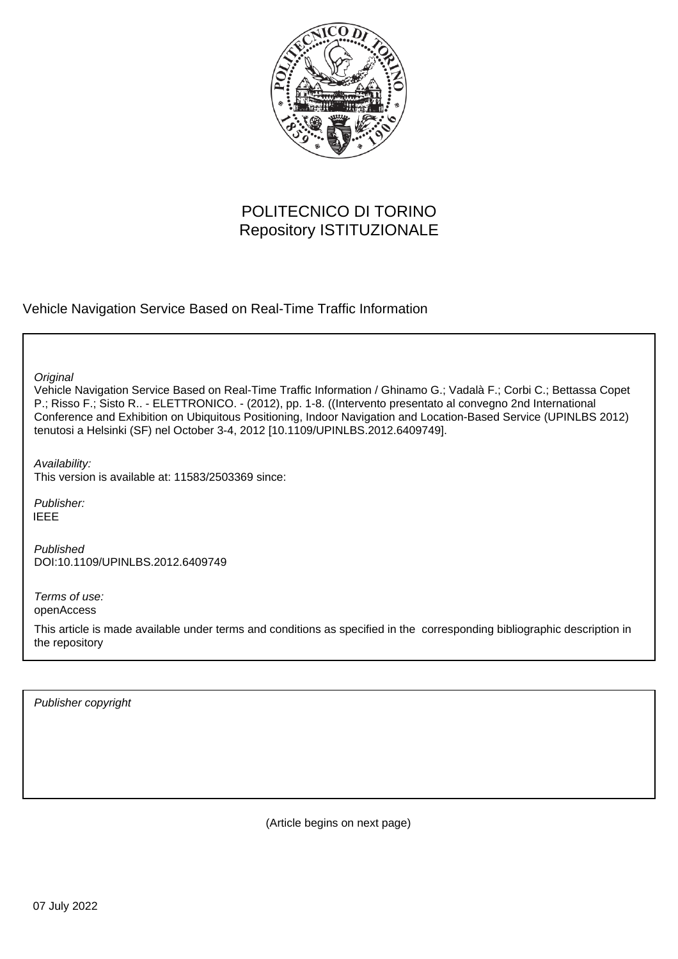

# POLITECNICO DI TORINO Repository ISTITUZIONALE

Vehicle Navigation Service Based on Real-Time Traffic Information

**Original** 

Vehicle Navigation Service Based on Real-Time Traffic Information / Ghinamo G.; Vadalà F.; Corbi C.; Bettassa Copet P.; Risso F.; Sisto R.. - ELETTRONICO. - (2012), pp. 1-8. ((Intervento presentato al convegno 2nd International Conference and Exhibition on Ubiquitous Positioning, Indoor Navigation and Location-Based Service (UPINLBS 2012) tenutosi a Helsinki (SF) nel October 3-4, 2012 [10.1109/UPINLBS.2012.6409749].

Availability:

This version is available at: 11583/2503369 since:

Publisher: IEEE

Published DOI:10.1109/UPINLBS.2012.6409749

Terms of use: openAccess

This article is made available under terms and conditions as specified in the corresponding bibliographic description in the repository

Publisher copyright

(Article begins on next page)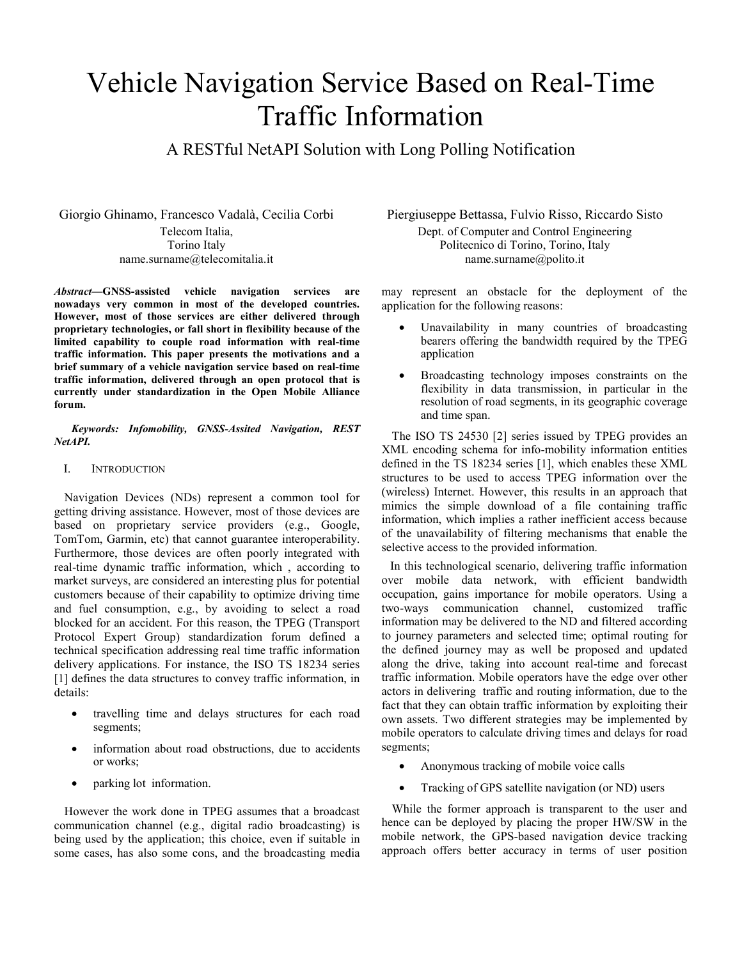# Vehicle Navigation Service Based on Real-Time Traffic Information

A RESTful NetAPI Solution with Long Polling Notification

Giorgio Ghinamo, Francesco Vadalà, Cecilia Corbi Telecom Italia, Torino Italy name.surname@telecomitalia.it

*Abstract***—GNSS-assisted vehicle navigation services are nowadays very common in most of the developed countries. However, most of those services are either delivered through proprietary technologies, or fall short in flexibility because of the limited capability to couple road information with real-time traffic information. This paper presents the motivations and a brief summary of a vehicle navigation service based on real-time traffic information, delivered through an open protocol that is currently under standardization in the Open Mobile Alliance forum.** 

*Keywords: Infomobility, GNSS-Assited Navigation, REST NetAPI.* 

# I. INTRODUCTION

Navigation Devices (NDs) represent a common tool for getting driving assistance. However, most of those devices are based on proprietary service providers (e.g., Google, TomTom, Garmin, etc) that cannot guarantee interoperability. Furthermore, those devices are often poorly integrated with real-time dynamic traffic information, which , according to market surveys, are considered an interesting plus for potential customers because of their capability to optimize driving time and fuel consumption, e.g., by avoiding to select a road blocked for an accident. For this reason, the TPEG (Transport Protocol Expert Group) standardization forum defined a technical specification addressing real time traffic information delivery applications. For instance, the ISO TS 18234 series [1] defines the data structures to convey traffic information, in details:

- travelling time and delays structures for each road segments;
- information about road obstructions, due to accidents or works;
- parking lot information.

However the work done in TPEG assumes that a broadcast communication channel (e.g., digital radio broadcasting) is being used by the application; this choice, even if suitable in some cases, has also some cons, and the broadcasting media Piergiuseppe Bettassa, Fulvio Risso, Riccardo Sisto Dept. of Computer and Control Engineering Politecnico di Torino, Torino, Italy name.surname@polito.it

may represent an obstacle for the deployment of the application for the following reasons:

- Unavailability in many countries of broadcasting bearers offering the bandwidth required by the TPEG application
- Broadcasting technology imposes constraints on the flexibility in data transmission, in particular in the resolution of road segments, in its geographic coverage and time span.

The ISO TS 24530 [2] series issued by TPEG provides an XML encoding schema for info-mobility information entities defined in the TS 18234 series [1], which enables these XML structures to be used to access TPEG information over the (wireless) Internet. However, this results in an approach that mimics the simple download of a file containing traffic information, which implies a rather inefficient access because of the unavailability of filtering mechanisms that enable the selective access to the provided information.

In this technological scenario, delivering traffic information over mobile data network, with efficient bandwidth occupation, gains importance for mobile operators. Using a two-ways communication channel, customized traffic information may be delivered to the ND and filtered according to journey parameters and selected time; optimal routing for the defined journey may as well be proposed and updated along the drive, taking into account real-time and forecast traffic information. Mobile operators have the edge over other actors in delivering traffic and routing information, due to the fact that they can obtain traffic information by exploiting their own assets. Two different strategies may be implemented by mobile operators to calculate driving times and delays for road segments;

- Anonymous tracking of mobile voice calls
- Tracking of GPS satellite navigation (or ND) users

While the former approach is transparent to the user and hence can be deployed by placing the proper HW/SW in the mobile network, the GPS-based navigation device tracking approach offers better accuracy in terms of user position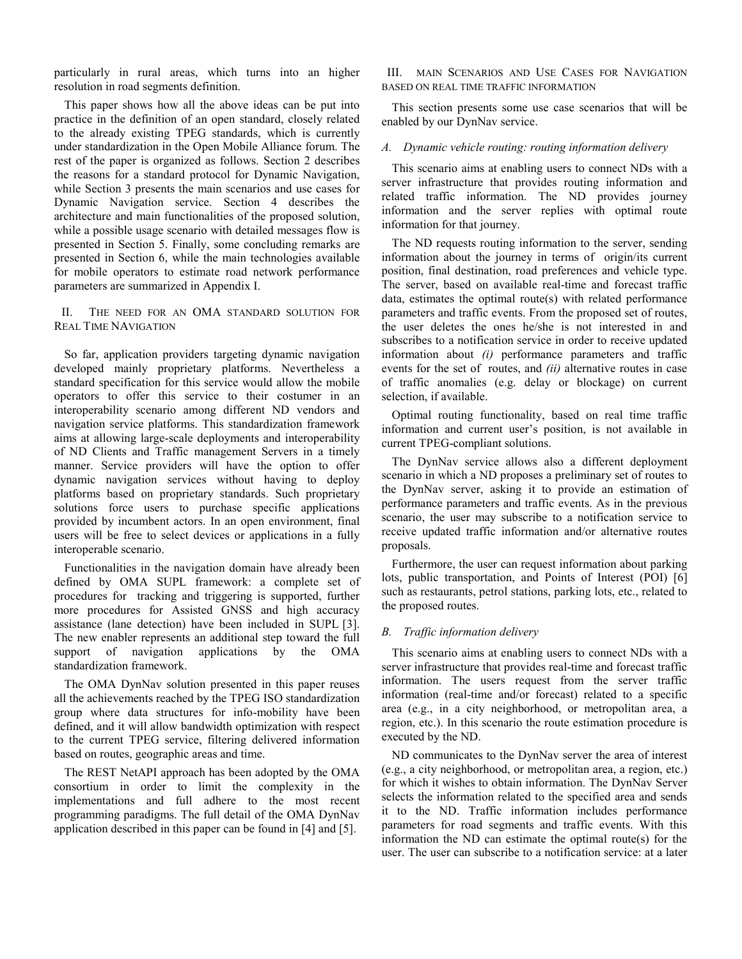particularly in rural areas, which turns into an higher resolution in road segments definition.

This paper shows how all the above ideas can be put into practice in the definition of an open standard, closely related to the already existing TPEG standards, which is currently under standardization in the Open Mobile Alliance forum. The rest of the paper is organized as follows. Section 2 describes the reasons for a standard protocol for Dynamic Navigation, while Section 3 presents the main scenarios and use cases for Dynamic Navigation service. Section 4 describes the architecture and main functionalities of the proposed solution, while a possible usage scenario with detailed messages flow is presented in Section 5. Finally, some concluding remarks are presented in Section 6, while the main technologies available for mobile operators to estimate road network performance parameters are summarized in Appendix I.

II. THE NEED FOR AN OMA STANDARD SOLUTION FOR REAL TIME NAVIGATION

So far, application providers targeting dynamic navigation developed mainly proprietary platforms. Nevertheless a standard specification for this service would allow the mobile operators to offer this service to their costumer in an interoperability scenario among different ND vendors and navigation service platforms. This standardization framework aims at allowing large-scale deployments and interoperability of ND Clients and Traffic management Servers in a timely manner. Service providers will have the option to offer dynamic navigation services without having to deploy platforms based on proprietary standards. Such proprietary solutions force users to purchase specific applications provided by incumbent actors. In an open environment, final users will be free to select devices or applications in a fully interoperable scenario.

Functionalities in the navigation domain have already been defined by OMA SUPL framework: a complete set of procedures for tracking and triggering is supported, further more procedures for Assisted GNSS and high accuracy assistance (lane detection) have been included in SUPL [3]. The new enabler represents an additional step toward the full support of navigation applications by the OMA standardization framework.

The OMA DynNav solution presented in this paper reuses all the achievements reached by the TPEG ISO standardization group where data structures for info-mobility have been defined, and it will allow bandwidth optimization with respect to the current TPEG service, filtering delivered information based on routes, geographic areas and time.

The REST NetAPI approach has been adopted by the OMA consortium in order to limit the complexity in the implementations and full adhere to the most recent programming paradigms. The full detail of the OMA DynNav application described in this paper can be found in [4] and [5].

III. MAIN SCENARIOS AND USE CASES FOR NAVIGATION BASED ON REAL TIME TRAFFIC INFORMATION

This section presents some use case scenarios that will be enabled by our DynNav service.

# *A. Dynamic vehicle routing: routing information delivery*

This scenario aims at enabling users to connect NDs with a server infrastructure that provides routing information and related traffic information. The ND provides journey information and the server replies with optimal route information for that journey.

The ND requests routing information to the server, sending information about the journey in terms of origin/its current position, final destination, road preferences and vehicle type. The server, based on available real-time and forecast traffic data, estimates the optimal route(s) with related performance parameters and traffic events. From the proposed set of routes, the user deletes the ones he/she is not interested in and subscribes to a notification service in order to receive updated information about *(i)* performance parameters and traffic events for the set of routes, and *(ii)* alternative routes in case of traffic anomalies (e.g. delay or blockage) on current selection, if available.

Optimal routing functionality, based on real time traffic information and current user's position, is not available in current TPEG-compliant solutions.

The DynNav service allows also a different deployment scenario in which a ND proposes a preliminary set of routes to the DynNav server, asking it to provide an estimation of performance parameters and traffic events. As in the previous scenario, the user may subscribe to a notification service to receive updated traffic information and/or alternative routes proposals.

Furthermore, the user can request information about parking lots, public transportation, and Points of Interest (POI) [6] such as restaurants, petrol stations, parking lots, etc., related to the proposed routes.

# *B. Traffic information delivery*

This scenario aims at enabling users to connect NDs with a server infrastructure that provides real-time and forecast traffic information. The users request from the server traffic information (real-time and/or forecast) related to a specific area (e.g., in a city neighborhood, or metropolitan area, a region, etc.). In this scenario the route estimation procedure is executed by the ND.

ND communicates to the DynNav server the area of interest (e.g., a city neighborhood, or metropolitan area, a region, etc.) for which it wishes to obtain information. The DynNav Server selects the information related to the specified area and sends it to the ND. Traffic information includes performance parameters for road segments and traffic events. With this information the ND can estimate the optimal route(s) for the user. The user can subscribe to a notification service: at a later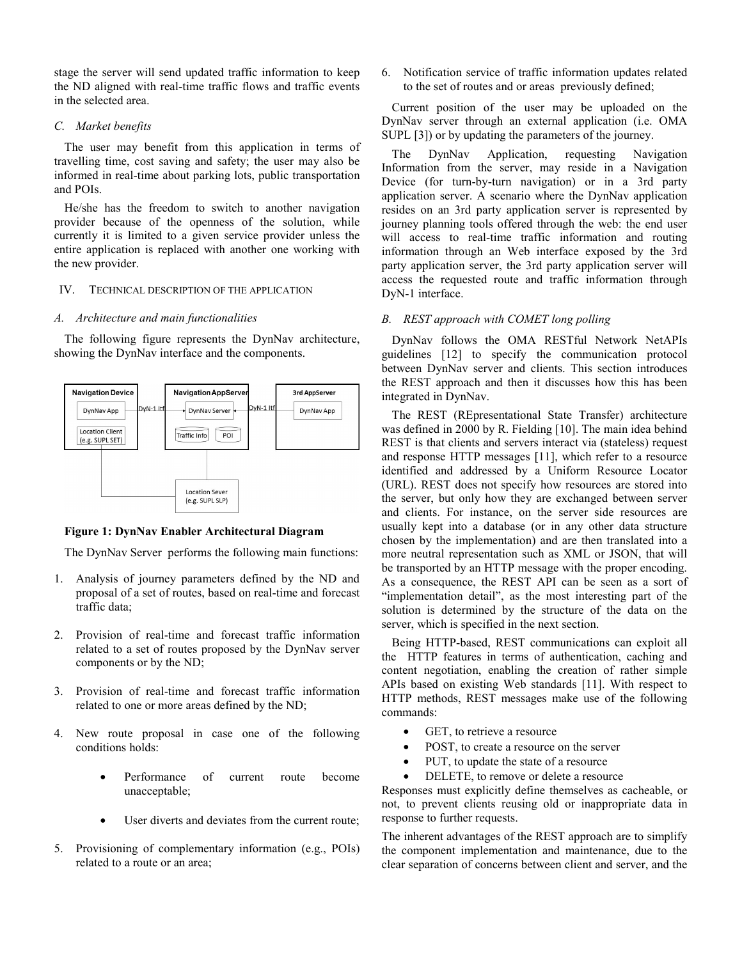stage the server will send updated traffic information to keep the ND aligned with real-time traffic flows and traffic events in the selected area.

# *C. Market benefits*

The user may benefit from this application in terms of travelling time, cost saving and safety; the user may also be informed in real-time about parking lots, public transportation and POIs.

He/she has the freedom to switch to another navigation provider because of the openness of the solution, while currently it is limited to a given service provider unless the entire application is replaced with another one working with the new provider.

# IV. TECHNICAL DESCRIPTION OF THE APPLICATION

# *A. Architecture and main functionalities*

The following figure represents the DynNav architecture, showing the DynNav interface and the components.



**Figure 1: DynNav Enabler Architectural Diagram** 

The DynNav Server performs the following main functions:

- 1. Analysis of journey parameters defined by the ND and proposal of a set of routes, based on real-time and forecast traffic data;
- 2. Provision of real-time and forecast traffic information related to a set of routes proposed by the DynNav server components or by the ND;
- 3. Provision of real-time and forecast traffic information related to one or more areas defined by the ND;
- 4. New route proposal in case one of the following conditions holds:
	- Performance of current route become unacceptable;
	- User diverts and deviates from the current route;
- 5. Provisioning of complementary information (e.g., POIs) related to a route or an area;

6. Notification service of traffic information updates related to the set of routes and or areas previously defined;

Current position of the user may be uploaded on the DynNav server through an external application (i.e. OMA SUPL [3]) or by updating the parameters of the journey.

The DynNav Application, requesting Navigation Information from the server, may reside in a Navigation Device (for turn-by-turn navigation) or in a 3rd party application server. A scenario where the DynNav application resides on an 3rd party application server is represented by journey planning tools offered through the web: the end user will access to real-time traffic information and routing information through an Web interface exposed by the 3rd party application server, the 3rd party application server will access the requested route and traffic information through DyN-1 interface.

# *B. REST approach with COMET long polling*

DynNav follows the OMA RESTful Network NetAPIs guidelines [12] to specify the communication protocol between DynNav server and clients. This section introduces the REST approach and then it discusses how this has been integrated in DynNav.

The REST (REpresentational State Transfer) architecture was defined in 2000 by R. Fielding [10]. The main idea behind REST is that clients and servers interact via (stateless) request and response HTTP messages [11], which refer to a resource identified and addressed by a Uniform Resource Locator (URL). REST does not specify how resources are stored into the server, but only how they are exchanged between server and clients. For instance, on the server side resources are usually kept into a database (or in any other data structure chosen by the implementation) and are then translated into a more neutral representation such as XML or JSON, that will be transported by an HTTP message with the proper encoding. As a consequence, the REST API can be seen as a sort of "implementation detail", as the most interesting part of the solution is determined by the structure of the data on the server, which is specified in the next section.

Being HTTP-based, REST communications can exploit all the HTTP features in terms of authentication, caching and content negotiation, enabling the creation of rather simple APIs based on existing Web standards [11]. With respect to HTTP methods, REST messages make use of the following commands:

- GET, to retrieve a resource
- POST, to create a resource on the server
- PUT, to update the state of a resource
- DELETE, to remove or delete a resource

Responses must explicitly define themselves as cacheable, or not, to prevent clients reusing old or inappropriate data in response to further requests.

The inherent advantages of the REST approach are to simplify the component implementation and maintenance, due to the clear separation of concerns between client and server, and the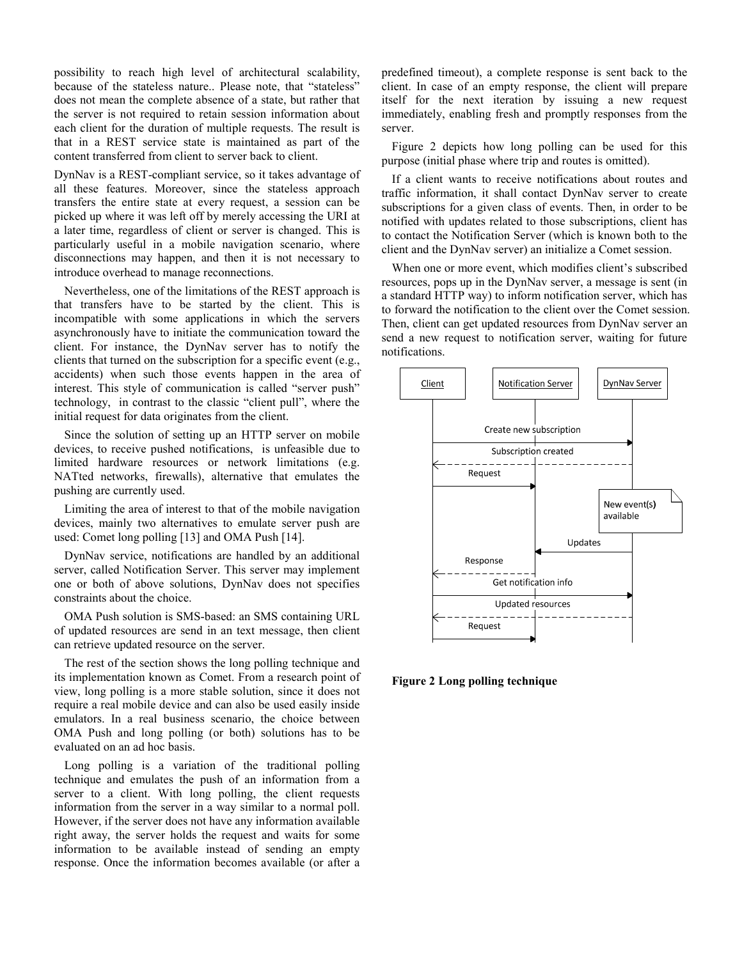possibility to reach high level of architectural scalability, because of the stateless nature.. Please note, that "stateless" does not mean the complete absence of a state, but rather that the server is not required to retain session information about each client for the duration of multiple requests. The result is that in a REST service state is maintained as part of the content transferred from client to server back to client.

DynNav is a REST-compliant service, so it takes advantage of all these features. Moreover, since the stateless approach transfers the entire state at every request, a session can be picked up where it was left off by merely accessing the URI at a later time, regardless of client or server is changed. This is particularly useful in a mobile navigation scenario, where disconnections may happen, and then it is not necessary to introduce overhead to manage reconnections.

Nevertheless, one of the limitations of the REST approach is that transfers have to be started by the client. This is incompatible with some applications in which the servers asynchronously have to initiate the communication toward the client. For instance, the DynNav server has to notify the clients that turned on the subscription for a specific event (e.g., accidents) when such those events happen in the area of interest. This style of communication is called "server push" technology, in contrast to the classic "client pull", where the initial request for data originates from the client.

Since the solution of setting up an HTTP server on mobile devices, to receive pushed notifications, is unfeasible due to limited hardware resources or network limitations (e.g. NATted networks, firewalls), alternative that emulates the pushing are currently used.

Limiting the area of interest to that of the mobile navigation devices, mainly two alternatives to emulate server push are used: Comet long polling [13] and OMA Push [14].

DynNav service, notifications are handled by an additional server, called Notification Server. This server may implement one or both of above solutions, DynNav does not specifies constraints about the choice.

OMA Push solution is SMS-based: an SMS containing URL of updated resources are send in an text message, then client can retrieve updated resource on the server.

The rest of the section shows the long polling technique and its implementation known as Comet. From a research point of view, long polling is a more stable solution, since it does not require a real mobile device and can also be used easily inside emulators. In a real business scenario, the choice between OMA Push and long polling (or both) solutions has to be evaluated on an ad hoc basis.

Long polling is a variation of the traditional polling technique and emulates the push of an information from a server to a client. With long polling, the client requests information from the server in a way similar to a normal poll. However, if the server does not have any information available right away, the server holds the request and waits for some information to be available instead of sending an empty response. Once the information becomes available (or after a

predefined timeout), a complete response is sent back to the client. In case of an empty response, the client will prepare itself for the next iteration by issuing a new request immediately, enabling fresh and promptly responses from the server.

Figure 2 depicts how long polling can be used for this purpose (initial phase where trip and routes is omitted).

If a client wants to receive notifications about routes and traffic information, it shall contact DynNav server to create subscriptions for a given class of events. Then, in order to be notified with updates related to those subscriptions, client has to contact the Notification Server (which is known both to the client and the DynNav server) an initialize a Comet session.

When one or more event, which modifies client's subscribed resources, pops up in the DynNav server, a message is sent (in a standard HTTP way) to inform notification server, which has to forward the notification to the client over the Comet session. Then, client can get updated resources from DynNav server an send a new request to notification server, waiting for future notifications.



**Figure 2 Long polling technique**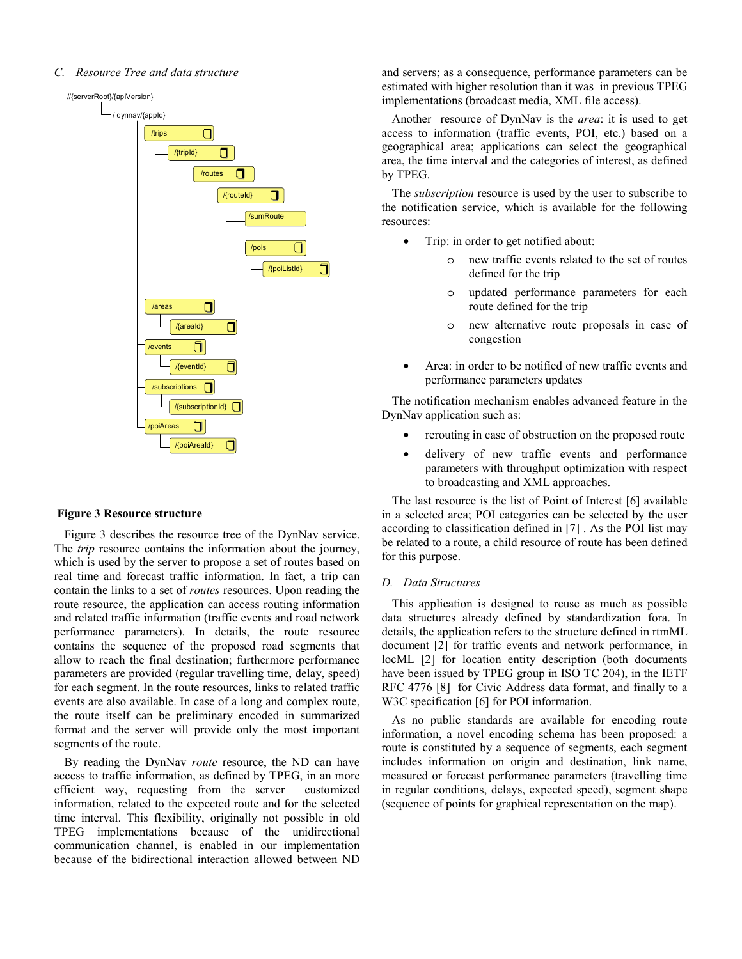#### *C. Resource Tree and data structure*



# **Figure 3 Resource structure**

Figure 3 describes the resource tree of the DynNav service. The *trip* resource contains the information about the journey, which is used by the server to propose a set of routes based on real time and forecast traffic information. In fact, a trip can contain the links to a set of *routes* resources. Upon reading the route resource, the application can access routing information and related traffic information (traffic events and road network performance parameters). In details, the route resource contains the sequence of the proposed road segments that allow to reach the final destination; furthermore performance parameters are provided (regular travelling time, delay, speed) for each segment. In the route resources, links to related traffic events are also available. In case of a long and complex route, the route itself can be preliminary encoded in summarized format and the server will provide only the most important segments of the route.

By reading the DynNav *route* resource, the ND can have access to traffic information, as defined by TPEG, in an more efficient way, requesting from the server customized information, related to the expected route and for the selected time interval. This flexibility, originally not possible in old TPEG implementations because of the unidirectional communication channel, is enabled in our implementation because of the bidirectional interaction allowed between ND

and servers; as a consequence, performance parameters can be estimated with higher resolution than it was in previous TPEG implementations (broadcast media, XML file access).

Another resource of DynNav is the *area*: it is used to get access to information (traffic events, POI, etc.) based on a geographical area; applications can select the geographical area, the time interval and the categories of interest, as defined by TPEG.

The *subscription* resource is used by the user to subscribe to the notification service, which is available for the following resources:

- Trip: in order to get notified about:
	- o new traffic events related to the set of routes defined for the trip
	- o updated performance parameters for each route defined for the trip
	- o new alternative route proposals in case of congestion
- Area: in order to be notified of new traffic events and performance parameters updates

The notification mechanism enables advanced feature in the DynNav application such as:

- rerouting in case of obstruction on the proposed route
- delivery of new traffic events and performance parameters with throughput optimization with respect to broadcasting and XML approaches.

The last resource is the list of Point of Interest [6] available in a selected area; POI categories can be selected by the user according to classification defined in [7] . As the POI list may be related to a route, a child resource of route has been defined for this purpose.

#### *D. Data Structures*

This application is designed to reuse as much as possible data structures already defined by standardization fora. In details, the application refers to the structure defined in rtmML document [2] for traffic events and network performance, in locML [2] for location entity description (both documents have been issued by TPEG group in ISO TC 204), in the IETF RFC 4776 [8] for Civic Address data format, and finally to a W3C specification [6] for POI information.

As no public standards are available for encoding route information, a novel encoding schema has been proposed: a route is constituted by a sequence of segments, each segment includes information on origin and destination, link name, measured or forecast performance parameters (travelling time in regular conditions, delays, expected speed), segment shape (sequence of points for graphical representation on the map).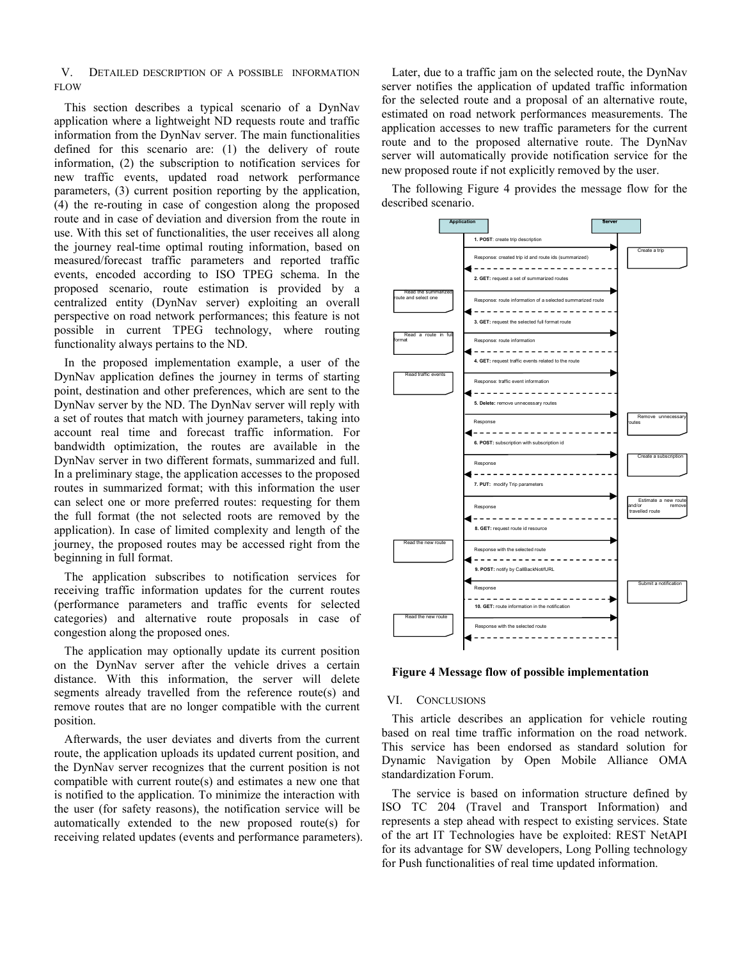V. DETAILED DESCRIPTION OF A POSSIBLE INFORMATION FLOW

This section describes a typical scenario of a DynNav application where a lightweight ND requests route and traffic information from the DynNav server. The main functionalities defined for this scenario are: (1) the delivery of route information, (2) the subscription to notification services for new traffic events, updated road network performance parameters, (3) current position reporting by the application, (4) the re-routing in case of congestion along the proposed route and in case of deviation and diversion from the route in use. With this set of functionalities, the user receives all along the journey real-time optimal routing information, based on measured/forecast traffic parameters and reported traffic events, encoded according to ISO TPEG schema. In the proposed scenario, route estimation is provided by a centralized entity (DynNav server) exploiting an overall perspective on road network performances; this feature is not possible in current TPEG technology, where routing functionality always pertains to the ND.

In the proposed implementation example, a user of the DynNav application defines the journey in terms of starting point, destination and other preferences, which are sent to the DynNav server by the ND. The DynNav server will reply with a set of routes that match with journey parameters, taking into account real time and forecast traffic information. For bandwidth optimization, the routes are available in the DynNav server in two different formats, summarized and full. In a preliminary stage, the application accesses to the proposed routes in summarized format; with this information the user can select one or more preferred routes: requesting for them the full format (the not selected roots are removed by the application). In case of limited complexity and length of the journey, the proposed routes may be accessed right from the beginning in full format.

The application subscribes to notification services for receiving traffic information updates for the current routes (performance parameters and traffic events for selected categories) and alternative route proposals in case of congestion along the proposed ones.

The application may optionally update its current position on the DynNav server after the vehicle drives a certain distance. With this information, the server will delete segments already travelled from the reference route(s) and remove routes that are no longer compatible with the current position.

Afterwards, the user deviates and diverts from the current route, the application uploads its updated current position, and the DynNav server recognizes that the current position is not compatible with current route(s) and estimates a new one that is notified to the application. To minimize the interaction with the user (for safety reasons), the notification service will be automatically extended to the new proposed route(s) for receiving related updates (events and performance parameters).

Later, due to a traffic jam on the selected route, the DynNav server notifies the application of updated traffic information for the selected route and a proposal of an alternative route, estimated on road network performances measurements. The application accesses to new traffic parameters for the current route and to the proposed alternative route. The DynNav server will automatically provide notification service for the new proposed route if not explicitly removed by the user.

The following Figure 4 provides the message flow for the described scenario.



**Figure 4 Message flow of possible implementation** 

#### VI. CONCLUSIONS

This article describes an application for vehicle routing based on real time traffic information on the road network. This service has been endorsed as standard solution for Dynamic Navigation by Open Mobile Alliance OMA standardization Forum.

The service is based on information structure defined by ISO TC 204 (Travel and Transport Information) and represents a step ahead with respect to existing services. State of the art IT Technologies have be exploited: REST NetAPI for its advantage for SW developers, Long Polling technology for Push functionalities of real time updated information.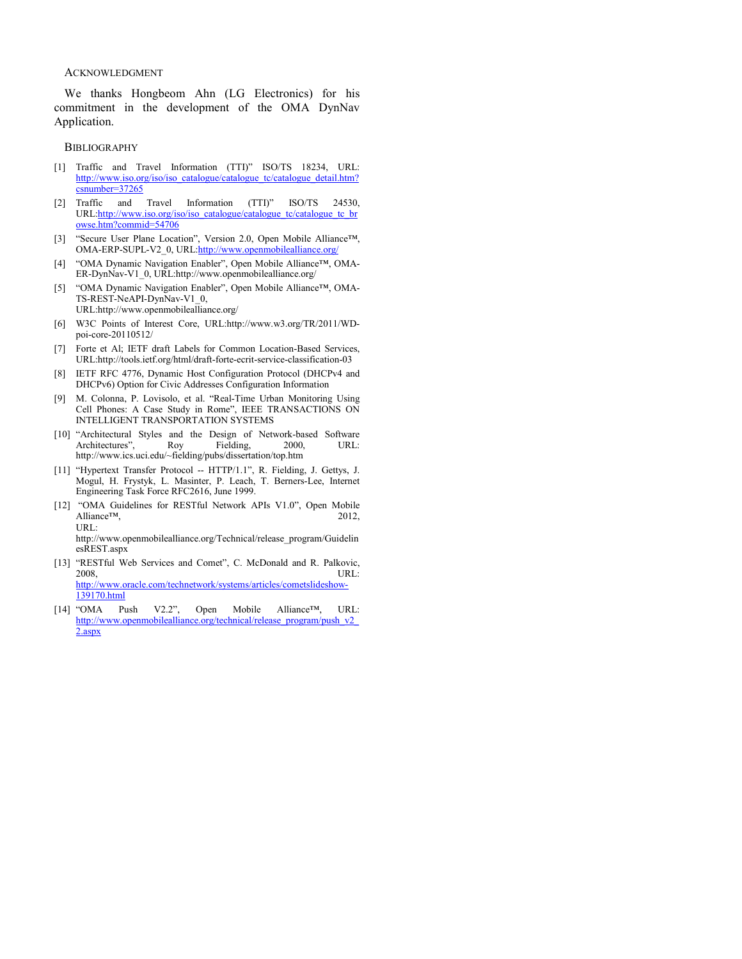#### ACKNOWLEDGMENT

We thanks Hongbeom Ahn (LG Electronics) for his commitment in the development of the OMA DynNav Application.

#### **BIBLIOGRAPHY**

- [1] Traffic and Travel Information (TTI)" ISO/TS 18234, URL: http://www.iso.org/iso/iso\_catalogue/catalogue\_tc/catalogue\_detail.htm? csnumber=37265
- [2] Traffic and Travel Information (TTI)" ISO/TS 24530, URL:http://www.iso.org/iso/iso\_catalogue/catalogue\_tc/catalogue\_tc\_br owse.htm?commid=54706
- [3] "Secure User Plane Location", Version 2.0, Open Mobile Alliance™, OMA-ERP-SUPL-V2\_0, URL:http://www.openmobilealliance.org/
- [4] "OMA Dynamic Navigation Enabler", Open Mobile Alliance™, OMA-ER-DynNav-V1\_0, URL:http://www.openmobilealliance.org/
- [5] "OMA Dynamic Navigation Enabler", Open Mobile Alliance™, OMA-TS-REST-NeAPI-DynNav-V1\_0, URL:http://www.openmobilealliance.org/
- [6] W3C Points of Interest Core, URL:http://www.w3.org/TR/2011/WDpoi-core-20110512/
- [7] Forte et Al; IETF draft Labels for Common Location-Based Services, URL:http://tools.ietf.org/html/draft-forte-ecrit-service-classification-03
- [8] IETF RFC 4776, Dynamic Host Configuration Protocol (DHCPv4 and DHCPv6) Option for Civic Addresses Configuration Information
- [9] M. Colonna, P. Lovisolo, et al. "Real-Time Urban Monitoring Using Cell Phones: A Case Study in Rome", IEEE TRANSACTIONS ON INTELLIGENT TRANSPORTATION SYSTEMS
- [10] "Architectural Styles and the Design of Network-based Software Architectures", Roy Fielding, 2000, URL: http://www.ics.uci.edu/~fielding/pubs/dissertation/top.htm
- [11] "Hypertext Transfer Protocol -- HTTP/1.1", R. Fielding, J. Gettys, J. Mogul, H. Frystyk, L. Masinter, P. Leach, T. Berners-Lee, Internet Engineering Task Force RFC2616, June 1999.
- [12] "OMA Guidelines for RESTful Network APIs V1.0", Open Mobile Alliance™, 2012, URL:

http://www.openmobilealliance.org/Technical/release\_program/Guidelin esREST.aspx

- [13] "RESTful Web Services and Comet", C. McDonald and R. Palkovic, 2008, URL: http://www.oracle.com/technetwork/systems/articles/cometslideshow-139170.html
- [14] "OMA Push V2.2", Open Mobile Alliance™, URL: http://www.openmobilealliance.org/technical/release\_program/push\_v2\_ 2.aspx